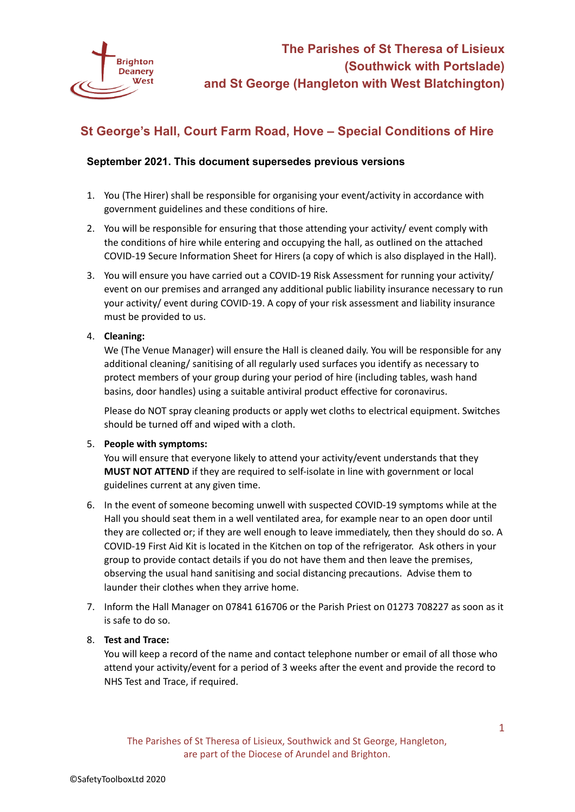

# **St George's Hall, Court Farm Road, Hove – Special Conditions of Hire**

# **September 2021. This document supersedes previous versions**

- 1. You (The Hirer) shall be responsible for organising your event/activity in accordance with government guidelines and these conditions of hire.
- 2. You will be responsible for ensuring that those attending your activity/ event comply with the conditions of hire while entering and occupying the hall, as outlined on the attached COVID-19 Secure Information Sheet for Hirers (a copy of which is also displayed in the Hall).
- 3. You will ensure you have carried out a COVID-19 Risk Assessment for running your activity/ event on our premises and arranged any additional public liability insurance necessary to run your activity/ event during COVID-19. A copy of your risk assessment and liability insurance must be provided to us.

# 4. **Cleaning:**

We (The Venue Manager) will ensure the Hall is cleaned daily. You will be responsible for any additional cleaning/ sanitising of all regularly used surfaces you identify as necessary to protect members of your group during your period of hire (including tables, wash hand basins, door handles) using a suitable antiviral product effective for coronavirus.

Please do NOT spray cleaning products or apply wet cloths to electrical equipment. Switches should be turned off and wiped with a cloth.

#### 5. **People with symptoms:**

You will ensure that everyone likely to attend your activity/event understands that they **MUST NOT ATTEND** if they are required to self-isolate in line with government or local guidelines current at any given time.

- 6. In the event of someone becoming unwell with suspected COVID-19 symptoms while at the Hall you should seat them in a well ventilated area, for example near to an open door until they are collected or; if they are well enough to leave immediately, then they should do so. A COVID-19 First Aid Kit is located in the Kitchen on top of the refrigerator. Ask others in your group to provide contact details if you do not have them and then leave the premises, observing the usual hand sanitising and social distancing precautions. Advise them to launder their clothes when they arrive home.
- 7. Inform the Hall Manager on 07841 616706 or the Parish Priest on 01273 708227 as soon as it is safe to do so.

#### 8. **Test and Trace:**

You will keep a record of the name and contact telephone number or email of all those who attend your activity/event for a period of 3 weeks after the event and provide the record to NHS Test and Trace, if required.